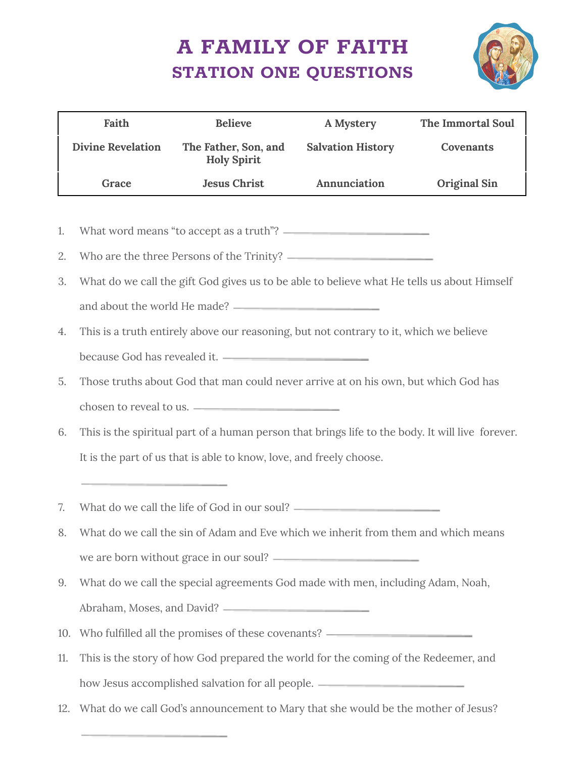## **A FAMILY OF FAITH STATION ONE QUESTIONS**



|    | Faith                                       | <b>Believe</b>                             | A Mystery                | The Immortal Soul   |  |
|----|---------------------------------------------|--------------------------------------------|--------------------------|---------------------|--|
|    | <b>Divine Revelation</b>                    | The Father, Son, and<br><b>Holy Spirit</b> | <b>Salvation History</b> | Covenants           |  |
|    | Grace                                       | <b>Jesus Christ</b>                        | Annunciation             | <b>Original Sin</b> |  |
|    |                                             |                                            |                          |                     |  |
| 1. | What word means "to accept as a truth"? —   |                                            |                          |                     |  |
| 2. | Who are the three Persons of the Trinity? – |                                            |                          |                     |  |

- 3. What do we call the gift God gives us to be able to believe what He tells us about Himself and about the world He made?
- 4. This is a truth entirely above our reasoning, but not contrary to it, which we believe because God has revealed it.
- 5. Those truths about God that man could never arrive at on his own, but which God has chosen to reveal to us.
- 6. This is the spiritual part of a human person that brings life to the body. It will live forever. It is the part of us that is able to know, love, and freely choose.
- 7. What do we call the life of God in our soul?
- 8. What do we call the sin of Adam and Eve which we inherit from them and which means we are born without grace in our soul?
- 9. What do we call the special agreements God made with men, including Adam, Noah, Abraham, Moses, and David?
- 10. Who fulfilled all the promises of these covenants?
- 11. This is the story of how God prepared the world for the coming of the Redeemer, and how Jesus accomplished salvation for all people. \_\_\_\_\_\_\_\_\_\_\_\_\_\_\_\_\_\_\_\_\_\_\_\_\_\_\_\_\_\_\_
- 12. What do we call God's announcement to Mary that she would be the mother of Jesus?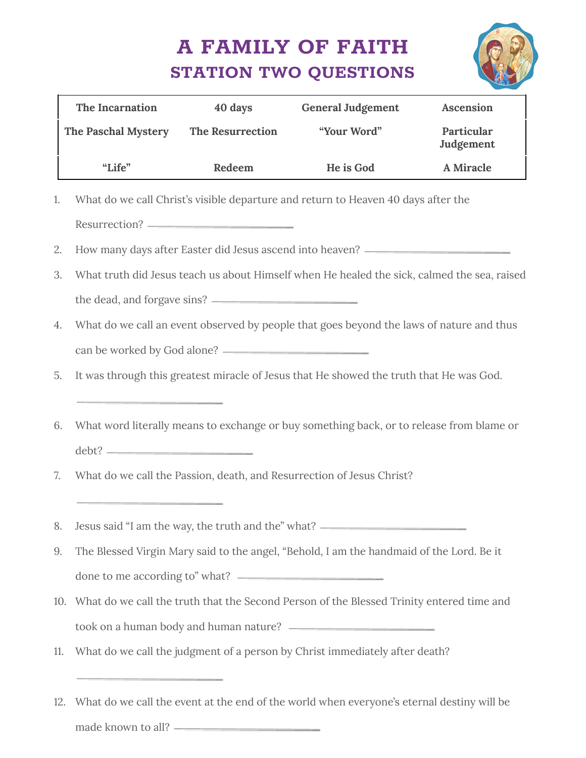## **A FAMILY OF FAITH STATION TWO QUESTIONS**



| The Incarnation                                                                                   | 40 days | <b>General Judgement</b>                                                                     | Ascension               |  |
|---------------------------------------------------------------------------------------------------|---------|----------------------------------------------------------------------------------------------|-------------------------|--|
| The Paschal Mystery The Resurrection                                                              |         | "Your Word"                                                                                  | Particular<br>Judgement |  |
| "Life"                                                                                            | Redeem  | He is God                                                                                    | A Miracle               |  |
| 1.                                                                                                |         | What do we call Christ's visible departure and return to Heaven 40 days after the            |                         |  |
|                                                                                                   |         |                                                                                              |                         |  |
| 2.                                                                                                |         | How many days after Easter did Jesus ascend into heaven? _______________________             |                         |  |
| 3.<br>What truth did Jesus teach us about Himself when He healed the sick, calmed the sea, raised |         |                                                                                              |                         |  |
|                                                                                                   |         |                                                                                              |                         |  |
| 4.                                                                                                |         | What do we call an event observed by people that goes beyond the laws of nature and thus     |                         |  |
|                                                                                                   |         |                                                                                              |                         |  |
| 5.                                                                                                |         | It was through this greatest miracle of Jesus that He showed the truth that He was God.      |                         |  |
| ______                                                                                            |         |                                                                                              |                         |  |
| 6.                                                                                                |         | What word literally means to exchange or buy something back, or to release from blame or     |                         |  |
| $\text{debt?} \qquad \qquad \text{d} \text{ebt?}$                                                 |         |                                                                                              |                         |  |
| 7.                                                                                                |         | What do we call the Passion, death, and Resurrection of Jesus Christ?                        |                         |  |
|                                                                                                   |         |                                                                                              |                         |  |
| 8.                                                                                                |         | Jesus said "I am the way, the truth and the" what? _____________________________             |                         |  |
| 9.                                                                                                |         | The Blessed Virgin Mary said to the angel, "Behold, I am the handmaid of the Lord. Be it     |                         |  |
|                                                                                                   |         |                                                                                              |                         |  |
|                                                                                                   |         | 10. What do we call the truth that the Second Person of the Blessed Trinity entered time and |                         |  |
|                                                                                                   |         |                                                                                              |                         |  |
| 11.                                                                                               |         | What do we call the judgment of a person by Christ immediately after death?                  |                         |  |
|                                                                                                   |         |                                                                                              |                         |  |

12. What do we call the event at the end of the world when everyone's eternal destiny will be made known to all?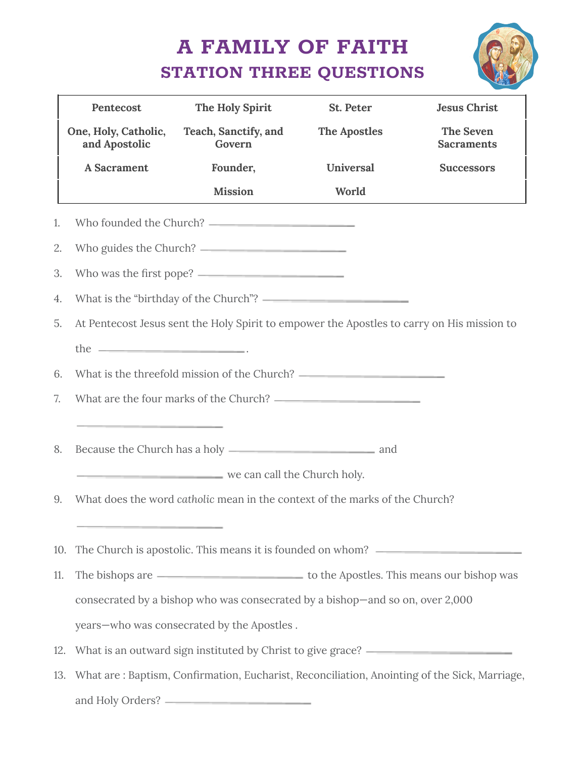## **A FAMILY OF FAITH STATION THREE QUESTIONS**



|     | Pentecost                                                                                                            | The Holy Spirit                                                                                  | St. Peter           | <b>Jesus Christ</b>            |  |  |
|-----|----------------------------------------------------------------------------------------------------------------------|--------------------------------------------------------------------------------------------------|---------------------|--------------------------------|--|--|
|     | One, Holy, Catholic,<br>and Apostolic                                                                                | Teach, Sanctify, and<br>Govern                                                                   | <b>The Apostles</b> | The Seven<br><b>Sacraments</b> |  |  |
|     | <b>A</b> Sacrament                                                                                                   | Founder,                                                                                         | Universal           | <b>Successors</b>              |  |  |
|     |                                                                                                                      | <b>Mission</b>                                                                                   | World               |                                |  |  |
| 1.  |                                                                                                                      |                                                                                                  |                     |                                |  |  |
| 2.  |                                                                                                                      |                                                                                                  |                     |                                |  |  |
| 3.  |                                                                                                                      |                                                                                                  |                     |                                |  |  |
| 4.  |                                                                                                                      |                                                                                                  |                     |                                |  |  |
| 5.  |                                                                                                                      | At Pentecost Jesus sent the Holy Spirit to empower the Apostles to carry on His mission to       |                     |                                |  |  |
|     | the $\qquad$                                                                                                         |                                                                                                  |                     |                                |  |  |
| 6.  |                                                                                                                      |                                                                                                  |                     |                                |  |  |
| 7.  |                                                                                                                      |                                                                                                  |                     |                                |  |  |
|     | <u> 1989 - Jan James James Jan James James Jan James James James James James James James James James James James</u> |                                                                                                  |                     |                                |  |  |
| 8.  |                                                                                                                      |                                                                                                  |                     |                                |  |  |
|     |                                                                                                                      | we can call the Church holy.                                                                     |                     |                                |  |  |
| 9.  |                                                                                                                      | What does the word catholic mean in the context of the marks of the Church?                      |                     |                                |  |  |
|     |                                                                                                                      |                                                                                                  |                     |                                |  |  |
|     |                                                                                                                      | 10. The Church is apostolic. This means it is founded on whom? _________________                 |                     |                                |  |  |
| 11. |                                                                                                                      |                                                                                                  |                     |                                |  |  |
|     |                                                                                                                      | consecrated by a bishop who was consecrated by a bishop-and so on, over 2,000                    |                     |                                |  |  |
|     |                                                                                                                      | years-who was consecrated by the Apostles.                                                       |                     |                                |  |  |
| 12. |                                                                                                                      | What is an outward sign instituted by Christ to give grace? ____________________                 |                     |                                |  |  |
|     |                                                                                                                      | 13. What are: Baptism, Confirmation, Eucharist, Reconciliation, Anointing of the Sick, Marriage, |                     |                                |  |  |
|     |                                                                                                                      |                                                                                                  |                     |                                |  |  |